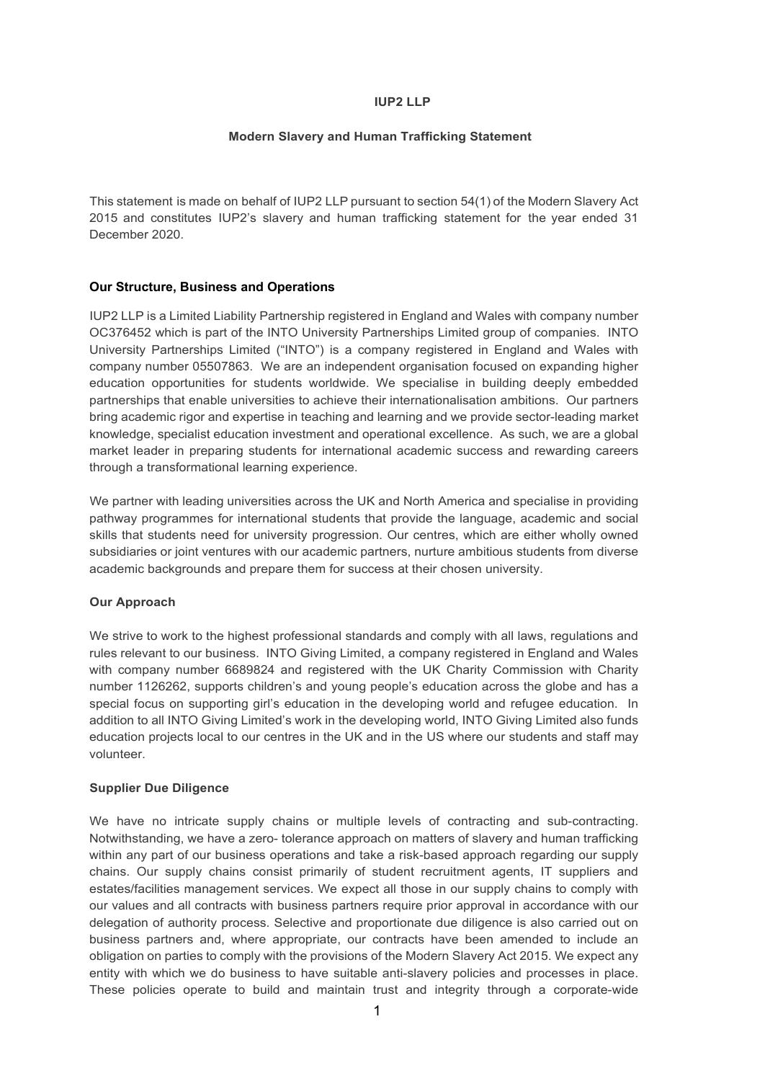# **IUP2 LLP**

# **Modern Slavery and Human Trafficking Statement**

This statement is made on behalf of IUP2 LLP pursuant to section 54(1) of the Modern Slavery Act 2015 and constitutes IUP2's slavery and human trafficking statement for the year ended 31 December 2020.

# **Our Structure, Business and Operations**

IUP2 LLP is a Limited Liability Partnership registered in England and Wales with company number OC376452 which is part of the INTO University Partnerships Limited group of companies. INTO University Partnerships Limited ("INTO") is a company registered in England and Wales with company number 05507863. We are an independent organisation focused on expanding higher education opportunities for students worldwide. We specialise in building deeply embedded partnerships that enable universities to achieve their internationalisation ambitions. Our partners bring academic rigor and expertise in teaching and learning and we provide sector-leading market knowledge, specialist education investment and operational excellence. As such, we are a global market leader in preparing students for international academic success and rewarding careers through a transformational learning experience.

We partner with leading universities across the UK and North America and specialise in providing pathway programmes for international students that provide the language, academic and social skills that students need for university progression. Our centres, which are either wholly owned subsidiaries or joint ventures with our academic partners, nurture ambitious students from diverse academic backgrounds and prepare them for success at their chosen university.

# **Our Approach**

We strive to work to the highest professional standards and comply with all laws, regulations and rules relevant to our business. INTO Giving Limited, a company registered in England and Wales with company number 6689824 and registered with the UK Charity Commission with Charity number 1126262, supports children's and young people's education across the globe and has a special focus on supporting girl's education in the developing world and refugee education. In addition to all INTO Giving Limited's work in the developing world, INTO Giving Limited also funds education projects local to our centres in the UK and in the US where our students and staff may volunteer.

# **Supplier Due Diligence**

We have no intricate supply chains or multiple levels of contracting and sub-contracting. Notwithstanding, we have a zero- tolerance approach on matters of slavery and human trafficking within any part of our business operations and take a risk-based approach regarding our supply chains. Our supply chains consist primarily of student recruitment agents, IT suppliers and estates/facilities management services. We expect all those in our supply chains to comply with our values and all contracts with business partners require prior approval in accordance with our delegation of authority process. Selective and proportionate due diligence is also carried out on business partners and, where appropriate, our contracts have been amended to include an obligation on parties to comply with the provisions of the Modern Slavery Act 2015. We expect any entity with which we do business to have suitable anti-slavery policies and processes in place. These policies operate to build and maintain trust and integrity through a corporate-wide